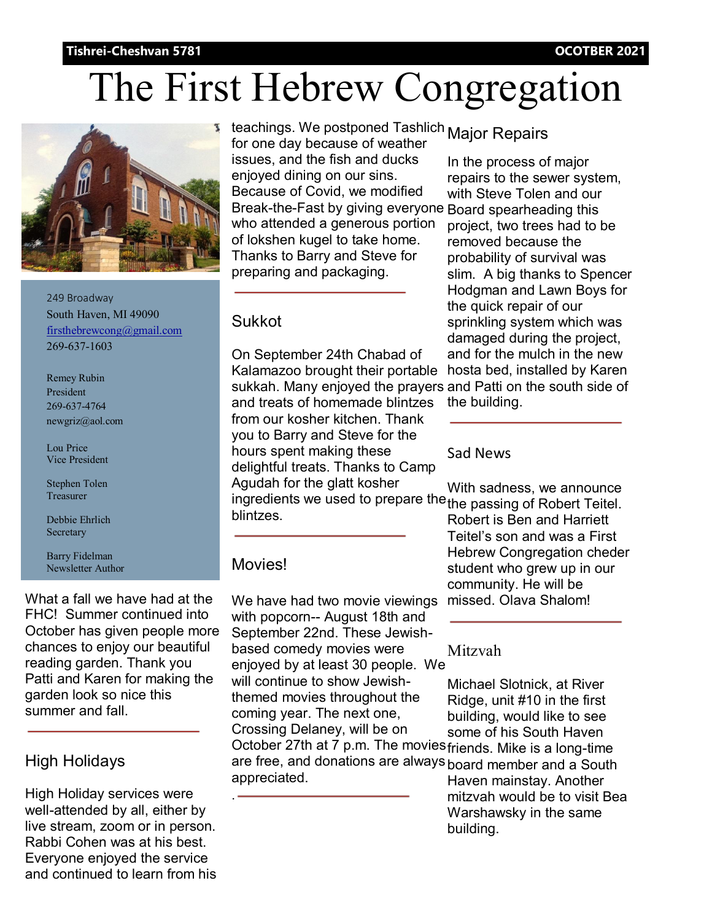#### **Tishrei-Cheshvan 5781 OCOTBER 2021**

# The First Hebrew Congregation



249 Broadway South Haven, MI 49090 firsthebrewcong@gmail.com 269-637-1603

Remey Rubin President 269-637-4764 newgriz@aol.com

Lou Price Vice President

Stephen Tolen Treasurer

Debbie Ehrlich **Secretary** 

Barry Fidelman Newsletter Author

What a fall we have had at the FHC! Summer continued into October has given people more chances to enjoy our beautiful reading garden. Thank you Patti and Karen for making the garden look so nice this summer and fall.

### High Holidays

High Holiday services were well-attended by all, either by live stream, zoom or in person. Rabbi Cohen was at his best. Everyone enjoyed the service and continued to learn from his

teachings. We postponed Tashlich Major Repairs for one day because of weather issues, and the fish and ducks enjoyed dining on our sins. Because of Covid, we modified Break-the-Fast by giving everyone Board spearheading this who attended a generous portion of lokshen kugel to take home. Thanks to Barry and Steve for preparing and packaging.

#### Sukkot

On September 24th Chabad of Kalamazoo brought their portable sukkah. Many enjoyed the prayers and Patti on the south side of and treats of homemade blintzes from our kosher kitchen. Thank you to Barry and Steve for the hours spent making these delightful treats. Thanks to Camp Agudah for the glatt kosher ingredients we used to prepare the the passing of Robert Teitel. blintzes.

#### Movies!

.

We have had two movie viewings with popcorn-- August 18th and September 22nd. These Jewishbased comedy movies were enjoyed by at least 30 people. We will continue to show Jewishthemed movies throughout the coming year. The next one, Crossing Delaney, will be on October 27th at 7 p.m. The movies friends. Mike is a long-time are free, and donations are always board member and a South appreciated.

In the process of major repairs to the sewer system, with Steve Tolen and our project, two trees had to be removed because the probability of survival was slim. A big thanks to Spencer Hodgman and Lawn Boys for the quick repair of our sprinkling system which was damaged during the project, and for the mulch in the new hosta bed, installed by Karen the building.

#### Sad News

With sadness, we announce

Robert is Ben and Harriett Teitel's son and was a First Hebrew Congregation cheder student who grew up in our community. He will be missed. Olava Shalom!

Mitzvah

Michael Slotnick, at River Ridge, unit #10 in the first building, would like to see some of his South Haven

Haven mainstay. Another mitzvah would be to visit Bea Warshawsky in the same building.